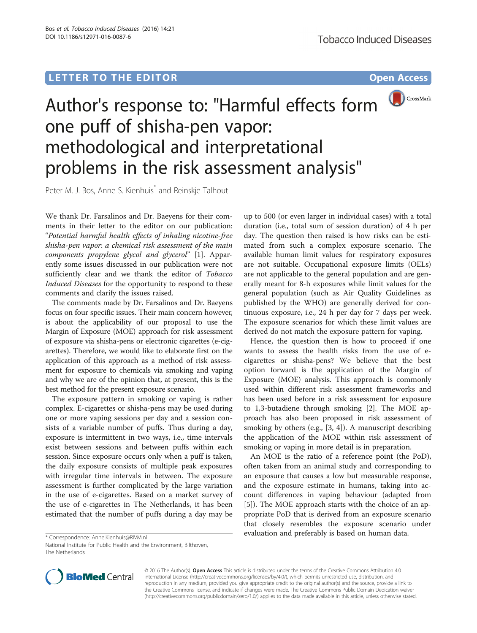# LETTER TO THE EDITOR **CONSIDERING A CONSIDERATION**



# Author's response to: "Harmful effects form one puff of shisha-pen vapor: methodological and interpretational problems in the risk assessment analysis"

Peter M. J. Bos, Anne S. Kienhuis<sup>\*</sup> and Reinskie Talhout

We thank Dr. Farsalinos and Dr. Baeyens for their comments in their letter to the editor on our publication: "Potential harmful health effects of inhaling nicotine-free shisha-pen vapor: a chemical risk assessment of the main components propylene glycol and glycerol" [\[1\]](#page-3-0). Apparently some issues discussed in our publication were not sufficiently clear and we thank the editor of Tobacco Induced Diseases for the opportunity to respond to these comments and clarify the issues raised.

The comments made by Dr. Farsalinos and Dr. Baeyens focus on four specific issues. Their main concern however, is about the applicability of our proposal to use the Margin of Exposure (MOE) approach for risk assessment of exposure via shisha-pens or electronic cigarettes (e-cigarettes). Therefore, we would like to elaborate first on the application of this approach as a method of risk assessment for exposure to chemicals via smoking and vaping and why we are of the opinion that, at present, this is the best method for the present exposure scenario.

The exposure pattern in smoking or vaping is rather complex. E-cigarettes or shisha-pens may be used during one or more vaping sessions per day and a session consists of a variable number of puffs. Thus during a day, exposure is intermittent in two ways, i.e., time intervals exist between sessions and between puffs within each session. Since exposure occurs only when a puff is taken, the daily exposure consists of multiple peak exposures with irregular time intervals in between. The exposure assessment is further complicated by the large variation in the use of e-cigarettes. Based on a market survey of the use of e-cigarettes in The Netherlands, it has been estimated that the number of puffs during a day may be

up to 500 (or even larger in individual cases) with a total duration (i.e., total sum of session duration) of 4 h per day. The question then raised is how risks can be estimated from such a complex exposure scenario. The available human limit values for respiratory exposures are not suitable. Occupational exposure limits (OELs) are not applicable to the general population and are generally meant for 8-h exposures while limit values for the general population (such as Air Quality Guidelines as published by the WHO) are generally derived for continuous exposure, i.e., 24 h per day for 7 days per week. The exposure scenarios for which these limit values are derived do not match the exposure pattern for vaping.

Hence, the question then is how to proceed if one wants to assess the health risks from the use of ecigarettes or shisha-pens? We believe that the best option forward is the application of the Margin of Exposure (MOE) analysis. This approach is commonly used within different risk assessment frameworks and has been used before in a risk assessment for exposure to 1,3-butadiene through smoking [\[2](#page-3-0)]. The MOE approach has also been proposed in risk assessment of smoking by others (e.g., [[3, 4](#page-3-0)]). A manuscript describing the application of the MOE within risk assessment of smoking or vaping in more detail is in preparation.

An MOE is the ratio of a reference point (the PoD), often taken from an animal study and corresponding to an exposure that causes a low but measurable response, and the exposure estimate in humans, taking into account differences in vaping behaviour (adapted from [[5\]](#page-3-0)). The MOE approach starts with the choice of an appropriate PoD that is derived from an exposure scenario that closely resembles the exposure scenario under evaluation and preferably is based on human data. \* Correspondence: [Anne.Kienhuis@RIVM.nl](mailto:Anne.Kienhuis@RIVM.nl)



© 2016 The Author(s). Open Access This article is distributed under the terms of the Creative Commons Attribution 4.0 International License [\(http://creativecommons.org/licenses/by/4.0/](http://creativecommons.org/licenses/by/4.0/)), which permits unrestricted use, distribution, and reproduction in any medium, provided you give appropriate credit to the original author(s) and the source, provide a link to the Creative Commons license, and indicate if changes were made. The Creative Commons Public Domain Dedication waiver [\(http://creativecommons.org/publicdomain/zero/1.0/](http://creativecommons.org/publicdomain/zero/1.0/)) applies to the data made available in this article, unless otherwise stated.

National Institute for Public Health and the Environment, Bilthoven, The Netherlands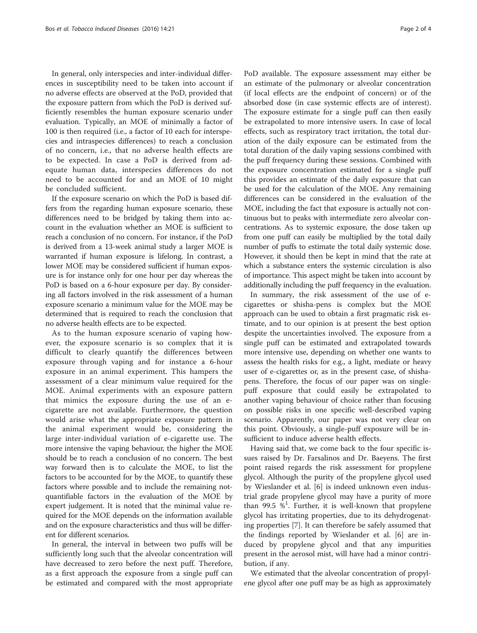In general, only interspecies and inter-individual differences in susceptibility need to be taken into account if no adverse effects are observed at the PoD, provided that the exposure pattern from which the PoD is derived sufficiently resembles the human exposure scenario under evaluation. Typically, an MOE of minimally a factor of 100 is then required (i.e., a factor of 10 each for interspecies and intraspecies differences) to reach a conclusion of no concern, i.e., that no adverse health effects are to be expected. In case a PoD is derived from adequate human data, interspecies differences do not need to be accounted for and an MOE of 10 might be concluded sufficient.

If the exposure scenario on which the PoD is based differs from the regarding human exposure scenario, these differences need to be bridged by taking them into account in the evaluation whether an MOE is sufficient to reach a conclusion of no concern. For instance, if the PoD is derived from a 13-week animal study a larger MOE is warranted if human exposure is lifelong. In contrast, a lower MOE may be considered sufficient if human exposure is for instance only for one hour per day whereas the PoD is based on a 6-hour exposure per day. By considering all factors involved in the risk assessment of a human exposure scenario a minimum value for the MOE may be determined that is required to reach the conclusion that no adverse health effects are to be expected.

As to the human exposure scenario of vaping however, the exposure scenario is so complex that it is difficult to clearly quantify the differences between exposure through vaping and for instance a 6-hour exposure in an animal experiment. This hampers the assessment of a clear minimum value required for the MOE. Animal experiments with an exposure pattern that mimics the exposure during the use of an ecigarette are not available. Furthermore, the question would arise what the appropriate exposure pattern in the animal experiment would be, considering the large inter-individual variation of e-cigarette use. The more intensive the vaping behaviour, the higher the MOE should be to reach a conclusion of no concern. The best way forward then is to calculate the MOE, to list the factors to be accounted for by the MOE, to quantify these factors where possible and to include the remaining notquantifiable factors in the evaluation of the MOE by expert judgement. It is noted that the minimal value required for the MOE depends on the information available and on the exposure characteristics and thus will be different for different scenarios.

In general, the interval in between two puffs will be sufficiently long such that the alveolar concentration will have decreased to zero before the next puff. Therefore, as a first approach the exposure from a single puff can be estimated and compared with the most appropriate

PoD available. The exposure assessment may either be an estimate of the pulmonary or alveolar concentration (if local effects are the endpoint of concern) or of the absorbed dose (in case systemic effects are of interest). The exposure estimate for a single puff can then easily be extrapolated to more intensive users. In case of local effects, such as respiratory tract irritation, the total duration of the daily exposure can be estimated from the total duration of the daily vaping sessions combined with the puff frequency during these sessions. Combined with the exposure concentration estimated for a single puff this provides an estimate of the daily exposure that can be used for the calculation of the MOE. Any remaining differences can be considered in the evaluation of the MOE, including the fact that exposure is actually not continuous but to peaks with intermediate zero alveolar concentrations. As to systemic exposure, the dose taken up from one puff can easily be multiplied by the total daily number of puffs to estimate the total daily systemic dose. However, it should then be kept in mind that the rate at which a substance enters the systemic circulation is also of importance. This aspect might be taken into account by additionally including the puff frequency in the evaluation.

In summary, the risk assessment of the use of ecigarettes or shisha-pens is complex but the MOE approach can be used to obtain a first pragmatic risk estimate, and to our opinion is at present the best option despite the uncertainties involved. The exposure from a single puff can be estimated and extrapolated towards more intensive use, depending on whether one wants to assess the health risks for e.g., a light, mediate or heavy user of e-cigarettes or, as in the present case, of shishapens. Therefore, the focus of our paper was on singlepuff exposure that could easily be extrapolated to another vaping behaviour of choice rather than focusing on possible risks in one specific well-described vaping scenario. Apparently, our paper was not very clear on this point. Obviously, a single-puff exposure will be insufficient to induce adverse health effects.

Having said that, we come back to the four specific issues raised by Dr. Farsalinos and Dr. Baeyens. The first point raised regards the risk assessment for propylene glycol. Although the purity of the propylene glycol used by Wieslander et al. [\[6](#page-3-0)] is indeed unknown even industrial grade propylene glycol may have a purity of more than 99.5  $\frac{1}{2}$ . Further, it is well-known that propylene glycol has irritating properties, due to its dehydrogenating properties [[7](#page-3-0)]. It can therefore be safely assumed that the findings reported by Wieslander et al. [\[6](#page-3-0)] are induced by propylene glycol and that any impurities present in the aerosol mist, will have had a minor contribution, if any.

We estimated that the alveolar concentration of propylene glycol after one puff may be as high as approximately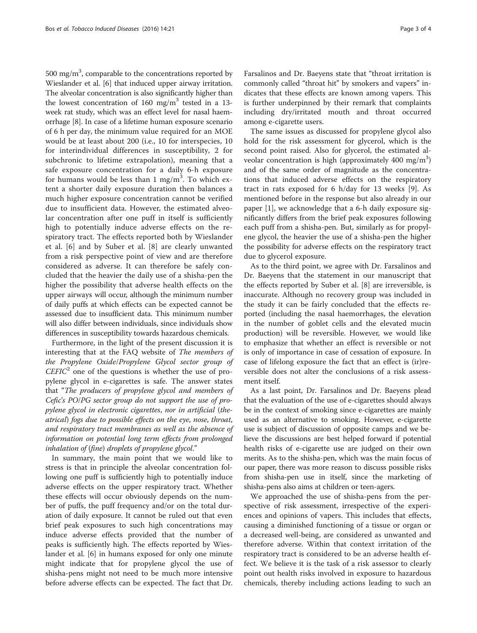500 mg/m<sup>3</sup>, comparable to the concentrations reported by Wieslander et al. [[6](#page-3-0)] that induced upper airway irritation. The alveolar concentration is also significantly higher than the lowest concentration of 160 mg/ $m<sup>3</sup>$  tested in a 13week rat study, which was an effect level for nasal haemorrhage [\[8](#page-3-0)]. In case of a lifetime human exposure scenario of 6 h per day, the minimum value required for an MOE would be at least about 200 (i.e., 10 for interspecies, 10 for interindividual differences in susceptibility, 2 for subchronic to lifetime extrapolation), meaning that a safe exposure concentration for a daily 6-h exposure for humans would be less than 1 mg/m $^3$ . To which extent a shorter daily exposure duration then balances a much higher exposure concentration cannot be verified due to insufficient data. However, the estimated alveolar concentration after one puff in itself is sufficiently high to potentially induce adverse effects on the respiratory tract. The effects reported both by Wieslander et al. [[6\]](#page-3-0) and by Suber et al. [[8\]](#page-3-0) are clearly unwanted from a risk perspective point of view and are therefore considered as adverse. It can therefore be safely concluded that the heavier the daily use of a shisha-pen the higher the possibility that adverse health effects on the upper airways will occur, although the minimum number of daily puffs at which effects can be expected cannot be assessed due to insufficient data. This minimum number will also differ between individuals, since individuals show differences in susceptibility towards hazardous chemicals.

Furthermore, in the light of the present discussion it is interesting that at the FAQ website of The members of the Propylene Oxide/Propylene Glycol sector group of  $CEFIC<sup>2</sup>$  one of the questions is whether the use of propylene glycol in e-cigarettes is safe. The answer states that "The producers of propylene glycol and members of Cefic's PO/PG sector group do not support the use of propylene glycol in electronic cigarettes, nor in artificial (theatrical) fogs due to possible effects on the eye, nose, throat, and respiratory tract membranes as well as the absence of information on potential long term effects from prolonged inhalation of (fine) droplets of propylene glycol."

In summary, the main point that we would like to stress is that in principle the alveolar concentration following one puff is sufficiently high to potentially induce adverse effects on the upper respiratory tract. Whether these effects will occur obviously depends on the number of puffs, the puff frequency and/or on the total duration of daily exposure. It cannot be ruled out that even brief peak exposures to such high concentrations may induce adverse effects provided that the number of peaks is sufficiently high. The effects reported by Wieslander et al. [\[6](#page-3-0)] in humans exposed for only one minute might indicate that for propylene glycol the use of shisha-pens might not need to be much more intensive before adverse effects can be expected. The fact that Dr.

Farsalinos and Dr. Baeyens state that "throat irritation is commonly called "throat hit" by smokers and vapers" indicates that these effects are known among vapers. This is further underpinned by their remark that complaints including dry/irritated mouth and throat occurred among e-cigarette users.

The same issues as discussed for propylene glycol also hold for the risk assessment for glycerol, which is the second point raised. Also for glycerol, the estimated alveolar concentration is high (approximately  $400 \text{ mg/m}^3$ ) and of the same order of magnitude as the concentrations that induced adverse effects on the respiratory tract in rats exposed for 6 h/day for 13 weeks [[9\]](#page-3-0). As mentioned before in the response but also already in our paper [\[1\]](#page-3-0), we acknowledge that a 6-h daily exposure significantly differs from the brief peak exposures following each puff from a shisha-pen. But, similarly as for propylene glycol, the heavier the use of a shisha-pen the higher the possibility for adverse effects on the respiratory tract due to glycerol exposure.

As to the third point, we agree with Dr. Farsalinos and Dr. Baeyens that the statement in our manuscript that the effects reported by Suber et al. [\[8](#page-3-0)] are irreversible, is inaccurate. Although no recovery group was included in the study it can be fairly concluded that the effects reported (including the nasal haemorrhages, the elevation in the number of goblet cells and the elevated mucin production) will be reversible. However, we would like to emphasize that whether an effect is reversible or not is only of importance in case of cessation of exposure. In case of lifelong exposure the fact that an effect is (ir)reversible does not alter the conclusions of a risk assessment itself.

As a last point, Dr. Farsalinos and Dr. Baeyens plead that the evaluation of the use of e-cigarettes should always be in the context of smoking since e-cigarettes are mainly used as an alternative to smoking. However, e-cigarette use is subject of discussion of opposite camps and we believe the discussions are best helped forward if potential health risks of e-cigarette use are judged on their own merits. As to the shisha-pen, which was the main focus of our paper, there was more reason to discuss possible risks from shisha-pen use in itself, since the marketing of shisha-pens also aims at children or teen-agers.

We approached the use of shisha-pens from the perspective of risk assessment, irrespective of the experiences and opinions of vapers. This includes that effects, causing a diminished functioning of a tissue or organ or a decreased well-being, are considered as unwanted and therefore adverse. Within that context irritation of the respiratory tract is considered to be an adverse health effect. We believe it is the task of a risk assessor to clearly point out health risks involved in exposure to hazardous chemicals, thereby including actions leading to such an